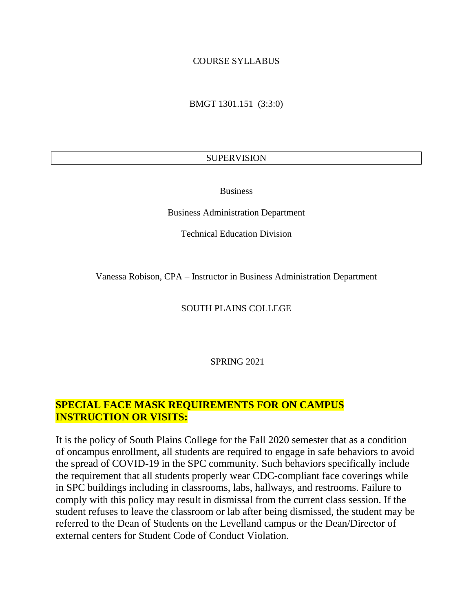### COURSE SYLLABUS

BMGT 1301.151 (3:3:0)

### SUPERVISION

Business

Business Administration Department

Technical Education Division

Vanessa Robison, CPA – Instructor in Business Administration Department

SOUTH PLAINS COLLEGE

SPRING 2021

# **SPECIAL FACE MASK REQUIREMENTS FOR ON CAMPUS INSTRUCTION OR VISITS:**

It is the policy of South Plains College for the Fall 2020 semester that as a condition of oncampus enrollment, all students are required to engage in safe behaviors to avoid the spread of COVID-19 in the SPC community. Such behaviors specifically include the requirement that all students properly wear CDC-compliant face coverings while in SPC buildings including in classrooms, labs, hallways, and restrooms. Failure to comply with this policy may result in dismissal from the current class session. If the student refuses to leave the classroom or lab after being dismissed, the student may be referred to the Dean of Students on the Levelland campus or the Dean/Director of external centers for Student Code of Conduct Violation.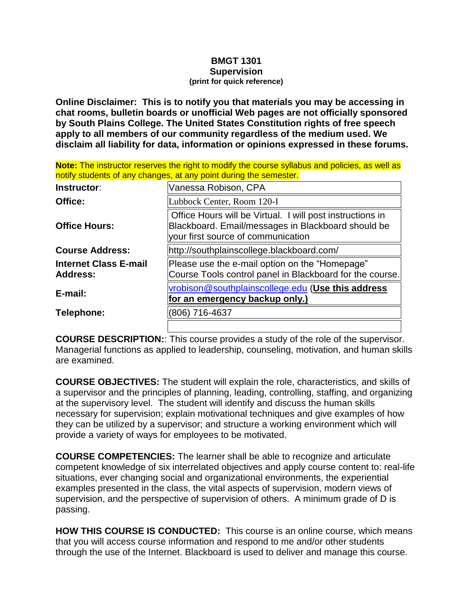#### **BMGT 1301 Supervision (print for quick reference)**

**Online Disclaimer: This is to notify you that materials you may be accessing in chat rooms, bulletin boards or unofficial Web pages are not officially sponsored by South Plains College. The United States Constitution rights of free speech apply to all members of our community regardless of the medium used. We disclaim all liability for data, information or opinions expressed in these forums.**

**Note:** The instructor reserves the right to modify the course syllabus and policies, as well as notify students of any changes, at any point during the semester.

| Instructor:                                     | Vanessa Robison, CPA                                                                                                                                  |
|-------------------------------------------------|-------------------------------------------------------------------------------------------------------------------------------------------------------|
| Office:                                         | Lubbock Center, Room 120-I                                                                                                                            |
| <b>Office Hours:</b>                            | Office Hours will be Virtual. I will post instructions in<br>Blackboard. Email/messages in Blackboard should be<br>your first source of communication |
| <b>Course Address:</b>                          | http://southplainscollege.blackboard.com/                                                                                                             |
| <b>Internet Class E-mail</b><br><b>Address:</b> | Please use the e-mail option on the "Homepage"<br>Course Tools control panel in Blackboard for the course.                                            |
| E-mail:                                         | vrobison@southplainscollege.edu (Use this address<br><u>for an emergency backup only.)</u>                                                            |
| Telephone:                                      | (806) 716-4637                                                                                                                                        |
|                                                 |                                                                                                                                                       |

**COURSE DESCRIPTION:**: This course provides a study of the role of the supervisor. Managerial functions as applied to leadership, counseling, motivation, and human skills are examined.

**COURSE OBJECTIVES:** The student will explain the role, characteristics, and skills of a supervisor and the principles of planning, leading, controlling, staffing, and organizing at the supervisory level. The student will identify and discuss the human skills necessary for supervision; explain motivational techniques and give examples of how they can be utilized by a supervisor; and structure a working environment which will provide a variety of ways for employees to be motivated.

**COURSE COMPETENCIES:** The learner shall be able to recognize and articulate competent knowledge of six interrelated objectives and apply course content to: real-life situations, ever changing social and organizational environments, the experiential examples presented in the class, the vital aspects of supervision, modern views of supervision, and the perspective of supervision of others. A minimum grade of D is passing.

**HOW THIS COURSE IS CONDUCTED:** This course is an online course, which means that you will access course information and respond to me and/or other students through the use of the Internet. Blackboard is used to deliver and manage this course.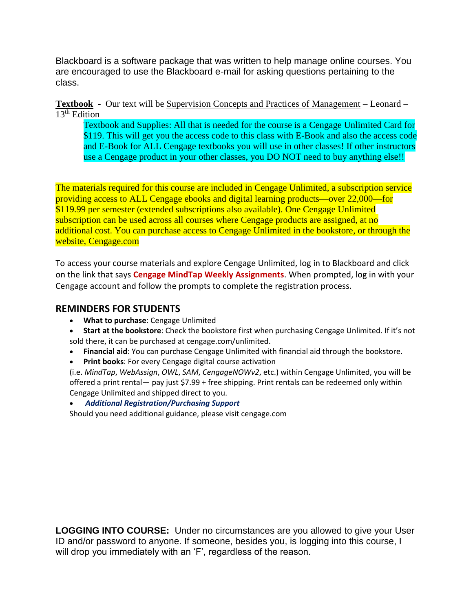Blackboard is a software package that was written to help manage online courses. You are encouraged to use the Blackboard e-mail for asking questions pertaining to the class.

### **Textbook** -Our text will be Supervision Concepts and Practices of Management – Leonard – 13th Edition

Textbook and Supplies: All that is needed for the course is a Cengage Unlimited Card for \$119. This will get you the access code to this class with E-Book and also the access code and E-Book for ALL Cengage textbooks you will use in other classes! If other instructors use a Cengage product in your other classes, you DO NOT need to buy anything else!!

The materials required for this course are included in [Cengage Unlimited,](http://www.cengage.com/unlimited) a subscription service providing access to ALL Cengage ebooks and digital learning products—over 22,000—for \$119.99 per semester (extended subscriptions also available). One Cengage Unlimited subscription can be used across all courses where Cengage products are assigned, at no additional cost. You can purchase access to Cengage Unlimited in the bookstore, or through the website, Cengage.com

To access your course materials and explore Cengage Unlimited, log in to Blackboard and click on the link that says **Cengage MindTap Weekly Assignments**. When prompted, log in with your Cengage account and follow the prompts to complete the registration process.

### **REMINDERS FOR STUDENTS**

- **What to purchase**: Cengage Unlimited
- **Start at the bookstore**: Check the bookstore first when purchasing Cengage Unlimited. If it's not sold there, it can be purchased at [cengage.com/unlimited.](https://www.cengage.com/unlimited)
- **Financial aid**: You can purchase Cengage Unlimited with financial aid through the bookstore.
- **Print books**: For every Cengage digital course activation

(i.e. *MindTap*, *WebAssign*, *OWL*, *SAM*, *CengageNOWv2*, etc.) within Cengage Unlimited, you will be offered a print rental— pay just \$7.99 + free shipping. Print rentals can be redeemed only within Cengage Unlimited and shipped direct to you.

• *Additional Registration/Purchasing Support*

Should you need additional guidance, please visit cengage.com

**LOGGING INTO COURSE:** Under no circumstances are you allowed to give your User ID and/or password to anyone. If someone, besides you, is logging into this course, I will drop you immediately with an 'F', regardless of the reason.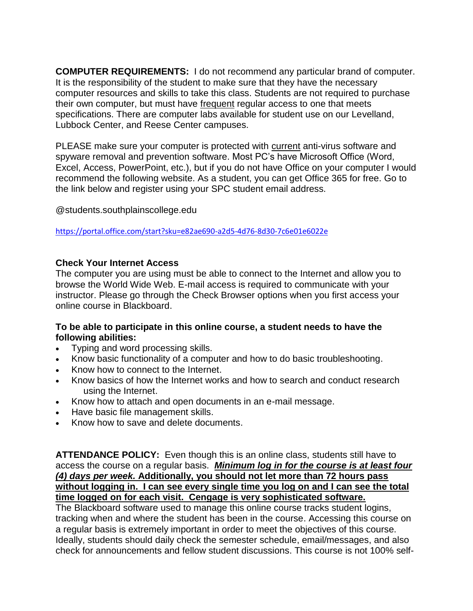**COMPUTER REQUIREMENTS:** I do not recommend any particular brand of computer. It is the responsibility of the student to make sure that they have the necessary computer resources and skills to take this class. Students are not required to purchase their own computer, but must have frequent regular access to one that meets specifications. There are computer labs available for student use on our Levelland, Lubbock Center, and Reese Center campuses.

PLEASE make sure your computer is protected with current anti-virus software and spyware removal and prevention software. Most PC's have Microsoft Office (Word, Excel, Access, PowerPoint, etc.), but if you do not have Office on your computer I would recommend the following website. As a student, you can get Office 365 for free. Go to the link below and register using your SPC student email address.

@students.southplainscollege.edu

<https://portal.office.com/start?sku=e82ae690-a2d5-4d76-8d30-7c6e01e6022e>

### **Check Your Internet Access**

The computer you are using must be able to connect to the Internet and allow you to browse the World Wide Web. E-mail access is required to communicate with your instructor. Please go through the Check Browser options when you first access your online course in Blackboard.

### **To be able to participate in this online course, a student needs to have the following abilities:**

- Typing and word processing skills.
- Know basic functionality of a computer and how to do basic troubleshooting.
- Know how to connect to the Internet.
- Know basics of how the Internet works and how to search and conduct research using the Internet.
- Know how to attach and open documents in an e-mail message.
- Have basic file management skills.
- Know how to save and delete documents.

**ATTENDANCE POLICY:** Even though this is an online class, students still have to access the course on a regular basis. *Minimum log in for the course is at least four (4) days per week.* **Additionally, you should not let more than 72 hours pass without logging in. I can see every single time you log on and I can see the total time logged on for each visit. Cengage is very sophisticated software.** 

The Blackboard software used to manage this online course tracks student logins, tracking when and where the student has been in the course. Accessing this course on a regular basis is extremely important in order to meet the objectives of this course. Ideally, students should daily check the semester schedule, email/messages, and also check for announcements and fellow student discussions. This course is not 100% self-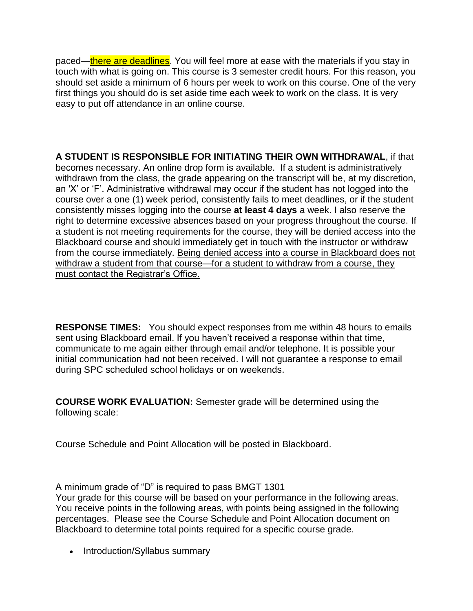paced—there are deadlines. You will feel more at ease with the materials if you stay in touch with what is going on. This course is 3 semester credit hours. For this reason, you should set aside a minimum of 6 hours per week to work on this course. One of the very first things you should do is set aside time each week to work on the class. It is very easy to put off attendance in an online course.

**A STUDENT IS RESPONSIBLE FOR INITIATING THEIR OWN WITHDRAWAL**, if that becomes necessary. An online drop form is available. If a student is administratively withdrawn from the class, the grade appearing on the transcript will be, at my discretion, an 'X' or 'F'. Administrative withdrawal may occur if the student has not logged into the course over a one (1) week period, consistently fails to meet deadlines, or if the student consistently misses logging into the course **at least 4 days** a week. I also reserve the right to determine excessive absences based on your progress throughout the course. If a student is not meeting requirements for the course, they will be denied access into the Blackboard course and should immediately get in touch with the instructor or withdraw from the course immediately. Being denied access into a course in Blackboard does not withdraw a student from that course—for a student to withdraw from a course, they must contact the Registrar's Office.

**RESPONSE TIMES:** You should expect responses from me within 48 hours to emails sent using Blackboard email. If you haven't received a response within that time, communicate to me again either through email and/or telephone. It is possible your initial communication had not been received. I will not guarantee a response to email during SPC scheduled school holidays or on weekends.

**COURSE WORK EVALUATION:** Semester grade will be determined using the following scale:

Course Schedule and Point Allocation will be posted in Blackboard.

A minimum grade of "D" is required to pass BMGT 1301

Your grade for this course will be based on your performance in the following areas. You receive points in the following areas, with points being assigned in the following percentages. Please see the Course Schedule and Point Allocation document on Blackboard to determine total points required for a specific course grade.

• Introduction/Syllabus summary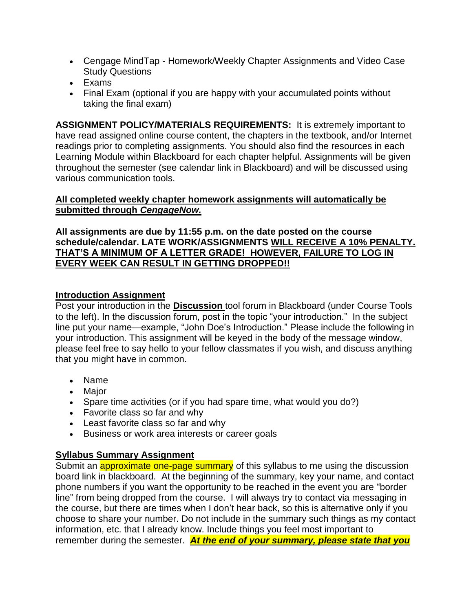- Cengage MindTap Homework/Weekly Chapter Assignments and Video Case Study Questions
- Exams
- Final Exam (optional if you are happy with your accumulated points without taking the final exam)

**ASSIGNMENT POLICY/MATERIALS REQUIREMENTS:** It is extremely important to have read assigned online course content, the chapters in the textbook, and/or Internet readings prior to completing assignments. You should also find the resources in each Learning Module within Blackboard for each chapter helpful. Assignments will be given throughout the semester (see calendar link in Blackboard) and will be discussed using various communication tools.

# **All completed weekly chapter homework assignments will automatically be submitted through** *CengageNow.*

**All assignments are due by 11:55 p.m. on the date posted on the course schedule/calendar. LATE WORK/ASSIGNMENTS WILL RECEIVE A 10% PENALTY. THAT'S A MINIMUM OF A LETTER GRADE! HOWEVER, FAILURE TO LOG IN EVERY WEEK CAN RESULT IN GETTING DROPPED!!**

# **Introduction Assignment**

Post your introduction in the **Discussion** tool forum in Blackboard (under Course Tools to the left). In the discussion forum, post in the topic "your introduction." In the subject line put your name—example, "John Doe's Introduction." Please include the following in your introduction. This assignment will be keyed in the body of the message window, please feel free to say hello to your fellow classmates if you wish, and discuss anything that you might have in common.

- Name
- Major
- Spare time activities (or if you had spare time, what would you do?)
- Favorite class so far and why
- Least favorite class so far and why
- Business or work area interests or career goals

# **Syllabus Summary Assignment**

Submit an **approximate one-page summary** of this syllabus to me using the discussion board link in blackboard. At the beginning of the summary, key your name, and contact phone numbers if you want the opportunity to be reached in the event you are "border line" from being dropped from the course. I will always try to contact via messaging in the course, but there are times when I don't hear back, so this is alternative only if you choose to share your number. Do not include in the summary such things as my contact information, etc. that I already know. Include things you feel most important to remember during the semester. *At the end of your summary, please state that you*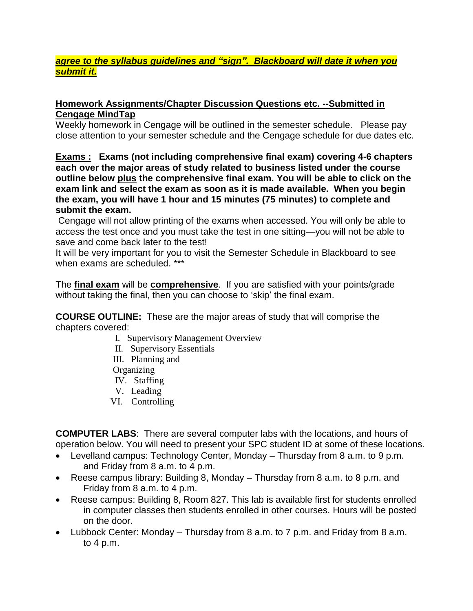# *agree to the syllabus guidelines and "sign". Blackboard will date it when you submit it.*

### **Homework Assignments/Chapter Discussion Questions etc. --Submitted in Cengage MindTap**

Weekly homework in Cengage will be outlined in the semester schedule. Please pay close attention to your semester schedule and the Cengage schedule for due dates etc.

**Exams : Exams (not including comprehensive final exam) covering 4-6 chapters each over the major areas of study related to business listed under the course outline below plus the comprehensive final exam. You will be able to click on the exam link and select the exam as soon as it is made available. When you begin the exam, you will have 1 hour and 15 minutes (75 minutes) to complete and submit the exam.**

Cengage will not allow printing of the exams when accessed. You will only be able to access the test once and you must take the test in one sitting—you will not be able to save and come back later to the test!

It will be very important for you to visit the Semester Schedule in Blackboard to see when exams are scheduled. \*\*\*

The **final exam** will be **comprehensive**. If you are satisfied with your points/grade without taking the final, then you can choose to 'skip' the final exam.

**COURSE OUTLINE:** These are the major areas of study that will comprise the chapters covered:

- I. Supervisory Management Overview
- II. Supervisory Essentials
- III. Planning and
- **Organizing**
- IV. Staffing
- V. Leading
- VI. Controlling

**COMPUTER LABS**: There are several computer labs with the locations, and hours of operation below. You will need to present your SPC student ID at some of these locations.

- Levelland campus: Technology Center, Monday Thursday from 8 a.m. to 9 p.m. and Friday from 8 a.m. to 4 p.m.
- Reese campus library: Building 8, Monday Thursday from 8 a.m. to 8 p.m. and Friday from 8 a.m. to 4 p.m.
- Reese campus: Building 8, Room 827. This lab is available first for students enrolled in computer classes then students enrolled in other courses. Hours will be posted on the door.
- Lubbock Center: Monday Thursday from 8 a.m. to 7 p.m. and Friday from 8 a.m. to 4 p.m.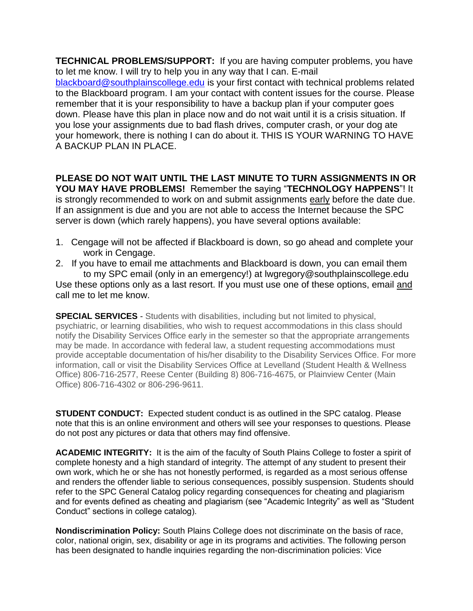**TECHNICAL PROBLEMS/SUPPORT:** If you are having computer problems, you have to let me know. I will try to help you in any way that I can. E-mail [blackboard@southplainscollege.edu](mailto:blackboard@southplainscollege.edu) is your first contact with technical problems related to the Blackboard program. I am your contact with content issues for the course. Please remember that it is your responsibility to have a backup plan if your computer goes down. Please have this plan in place now and do not wait until it is a crisis situation. If you lose your assignments due to bad flash drives, computer crash, or your dog ate your homework, there is nothing I can do about it. THIS IS YOUR WARNING TO HAVE A BACKUP PLAN IN PLACE.

#### **PLEASE DO NOT WAIT UNTIL THE LAST MINUTE TO TURN ASSIGNMENTS IN OR YOU MAY HAVE PROBLEMS!** Remember the saying "**TECHNOLOGY HAPPENS**"! It

is strongly recommended to work on and submit assignments early before the date due. If an assignment is due and you are not able to access the Internet because the SPC server is down (which rarely happens), you have several options available:

- 1. Cengage will not be affected if Blackboard is down, so go ahead and complete your work in Cengage.
- 2. If you have to email me attachments and Blackboard is down, you can email them to my SPC email (only in an emergency!) at lwgregory@southplainscollege.edu Use these options only as a last resort. If you must use one of these options, email and call me to let me know.

**SPECIAL SERVICES** - Students with disabilities, including but not limited to physical, psychiatric, or learning disabilities, who wish to request accommodations in this class should notify the Disability Services Office early in the semester so that the appropriate arrangements may be made. In accordance with federal law, a student requesting accommodations must provide acceptable documentation of his/her disability to the Disability Services Office. For more information, call or visit the Disability Services Office at Levelland (Student Health & Wellness Office) 806-716-2577, Reese Center (Building 8) 806-716-4675, or Plainview Center (Main Office) 806-716-4302 or 806-296-9611.

**STUDENT CONDUCT:** Expected student conduct is as outlined in the SPC catalog. Please note that this is an online environment and others will see your responses to questions. Please do not post any pictures or data that others may find offensive.

**ACADEMIC INTEGRITY:** It is the aim of the faculty of South Plains College to foster a spirit of complete honesty and a high standard of integrity. The attempt of any student to present their own work, which he or she has not honestly performed, is regarded as a most serious offense and renders the offender liable to serious consequences, possibly suspension. Students should refer to the SPC General Catalog policy regarding consequences for cheating and plagiarism and for events defined as cheating and plagiarism (see "Academic Integrity" as well as "Student Conduct" sections in college catalog).

**Nondiscrimination Policy:** South Plains College does not discriminate on the basis of race, color, national origin, sex, disability or age in its programs and activities. The following person has been designated to handle inquiries regarding the non-discrimination policies: Vice